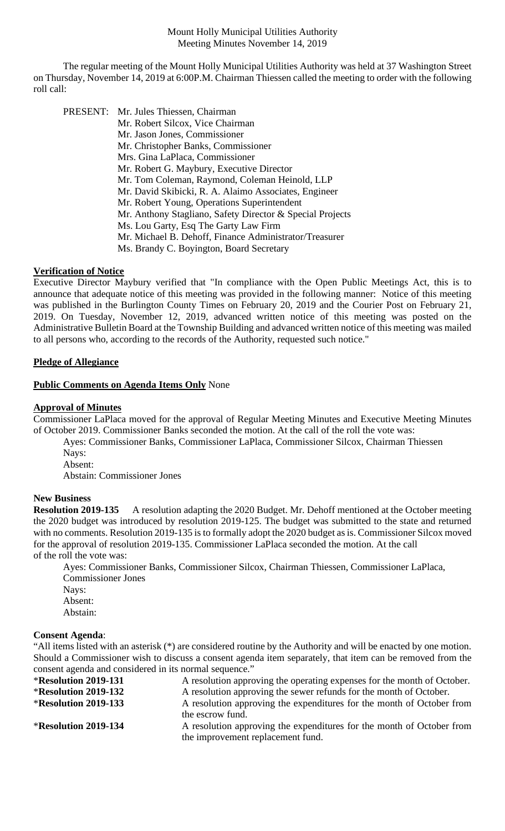Mount Holly Municipal Utilities Authority Meeting Minutes November 14, 2019

The regular meeting of the Mount Holly Municipal Utilities Authority was held at 37 Washington Street on Thursday, November 14, 2019 at 6:00P.M. Chairman Thiessen called the meeting to order with the following roll call:

| PRESENT: Mr. Jules Thiessen, Chairman                     |
|-----------------------------------------------------------|
| Mr. Robert Silcox, Vice Chairman                          |
| Mr. Jason Jones, Commissioner                             |
| Mr. Christopher Banks, Commissioner                       |
| Mrs. Gina LaPlaca, Commissioner                           |
| Mr. Robert G. Maybury, Executive Director                 |
| Mr. Tom Coleman, Raymond, Coleman Heinold, LLP            |
| Mr. David Skibicki, R. A. Alaimo Associates, Engineer     |
| Mr. Robert Young, Operations Superintendent               |
| Mr. Anthony Stagliano, Safety Director & Special Projects |
| Ms. Lou Garty, Esq The Garty Law Firm                     |
| Mr. Michael B. Dehoff, Finance Administrator/Treasurer    |
| Ms. Brandy C. Boyington, Board Secretary                  |
|                                                           |

## **Verification of Notice**

Executive Director Maybury verified that "In compliance with the Open Public Meetings Act, this is to announce that adequate notice of this meeting was provided in the following manner: Notice of this meeting was published in the Burlington County Times on February 20, 2019 and the Courier Post on February 21, 2019. On Tuesday, November 12, 2019, advanced written notice of this meeting was posted on the Administrative Bulletin Board at the Township Building and advanced written notice of this meeting was mailed to all persons who, according to the records of the Authority, requested such notice."

# **Pledge of Allegiance**

## **Public Comments on Agenda Items Only** None

## **Approval of Minutes**

Commissioner LaPlaca moved for the approval of Regular Meeting Minutes and Executive Meeting Minutes of October 2019. Commissioner Banks seconded the motion. At the call of the roll the vote was:

Ayes: Commissioner Banks, Commissioner LaPlaca, Commissioner Silcox, Chairman Thiessen Nays:

Absent:

Abstain: Commissioner Jones

## **New Business**

**Resolution 2019-135** A resolution adapting the 2020 Budget. Mr. Dehoff mentioned at the October meeting the 2020 budget was introduced by resolution 2019-125. The budget was submitted to the state and returned with no comments. Resolution 2019-135 is to formally adopt the 2020 budget as is. Commissioner Silcox moved for the approval of resolution 2019-135. Commissioner LaPlaca seconded the motion. At the call of the roll the vote was:

Ayes: Commissioner Banks, Commissioner Silcox, Chairman Thiessen, Commissioner LaPlaca, Commissioner Jones Navs: Absent: Abstain:

## **Consent Agenda**:

"All items listed with an asterisk (\*) are considered routine by the Authority and will be enacted by one motion. Should a Commissioner wish to discuss a consent agenda item separately, that item can be removed from the consent agenda and considered in its normal sequence."

| <b>*Resolution 2019-131</b> | A resolution approving the operating expenses for the month of October. |
|-----------------------------|-------------------------------------------------------------------------|
| <b>*Resolution 2019-132</b> | A resolution approving the sewer refunds for the month of October.      |
| <b>*Resolution 2019-133</b> | A resolution approving the expenditures for the month of October from   |
|                             | the escrow fund.                                                        |
| <b>*Resolution 2019-134</b> | A resolution approving the expenditures for the month of October from   |
|                             | the improvement replacement fund.                                       |